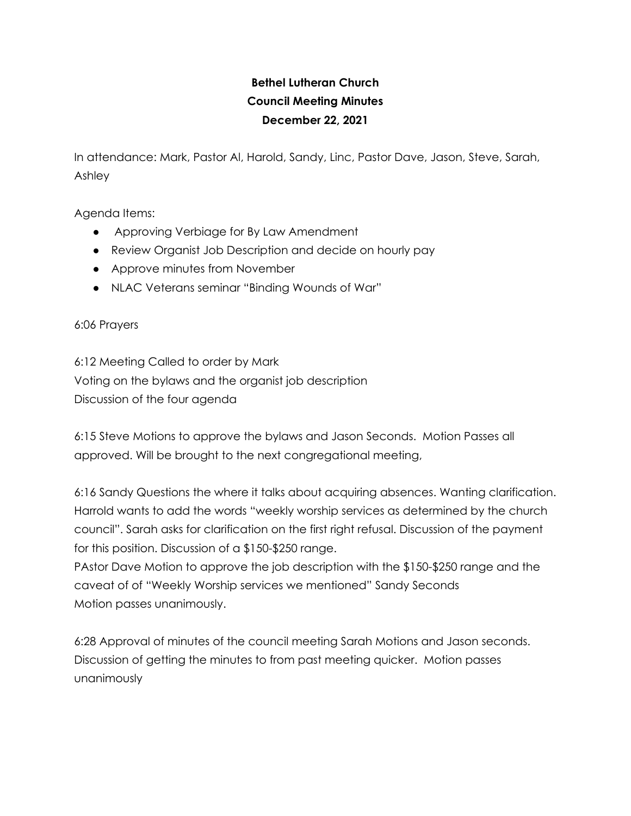## **Bethel Lutheran Church Council Meeting Minutes December 22, 2021**

In attendance: Mark, Pastor Al, Harold, Sandy, Linc, Pastor Dave, Jason, Steve, Sarah, Ashley

Agenda Items:

- Approving Verbiage for By Law Amendment
- Review Organist Job Description and decide on hourly pay
- Approve minutes from November
- NLAC Veterans seminar "Binding Wounds of War"

6:06 Prayers

6:12 Meeting Called to order by Mark Voting on the bylaws and the organist job description Discussion of the four agenda

6:15 Steve Motions to approve the bylaws and Jason Seconds. Motion Passes all approved. Will be brought to the next congregational meeting,

6:16 Sandy Questions the where it talks about acquiring absences. Wanting clarification. Harrold wants to add the words "weekly worship services as determined by the church council". Sarah asks for clarification on the first right refusal. Discussion of the payment for this position. Discussion of a \$150-\$250 range.

PAstor Dave Motion to approve the job description with the \$150-\$250 range and the caveat of of "Weekly Worship services we mentioned" Sandy Seconds Motion passes unanimously.

6:28 Approval of minutes of the council meeting Sarah Motions and Jason seconds. Discussion of getting the minutes to from past meeting quicker. Motion passes unanimously